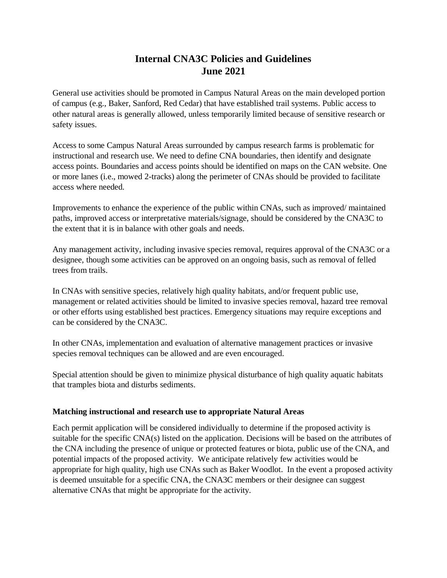# **Internal CNA3C Policies and Guidelines June 2021**

General use activities should be promoted in Campus Natural Areas on the main developed portion of campus (e.g., Baker, Sanford, Red Cedar) that have established trail systems. Public access to other natural areas is generally allowed, unless temporarily limited because of sensitive research or safety issues.

Access to some Campus Natural Areas surrounded by campus research farms is problematic for instructional and research use. We need to define CNA boundaries, then identify and designate access points. Boundaries and access points should be identified on maps on the CAN website. One or more lanes (i.e., mowed 2-tracks) along the perimeter of CNAs should be provided to facilitate access where needed.

Improvements to enhance the experience of the public within CNAs, such as improved/ maintained paths, improved access or interpretative materials/signage, should be considered by the CNA3C to the extent that it is in balance with other goals and needs.

Any management activity, including invasive species removal, requires approval of the CNA3C or a designee, though some activities can be approved on an ongoing basis, such as removal of felled trees from trails.

In CNAs with sensitive species, relatively high quality habitats, and/or frequent public use, management or related activities should be limited to invasive species removal, hazard tree removal or other efforts using established best practices. Emergency situations may require exceptions and can be considered by the CNA3C.

In other CNAs, implementation and evaluation of alternative management practices or invasive species removal techniques can be allowed and are even encouraged.

Special attention should be given to minimize physical disturbance of high quality aquatic habitats that tramples biota and disturbs sediments.

### **Matching instructional and research use to appropriate Natural Areas**

Each permit application will be considered individually to determine if the proposed activity is suitable for the specific CNA(s) listed on the application. Decisions will be based on the attributes of the CNA including the presence of unique or protected features or biota, public use of the CNA, and potential impacts of the proposed activity. We anticipate relatively few activities would be appropriate for high quality, high use CNAs such as Baker Woodlot. In the event a proposed activity is deemed unsuitable for a specific CNA, the CNA3C members or their designee can suggest alternative CNAs that might be appropriate for the activity.